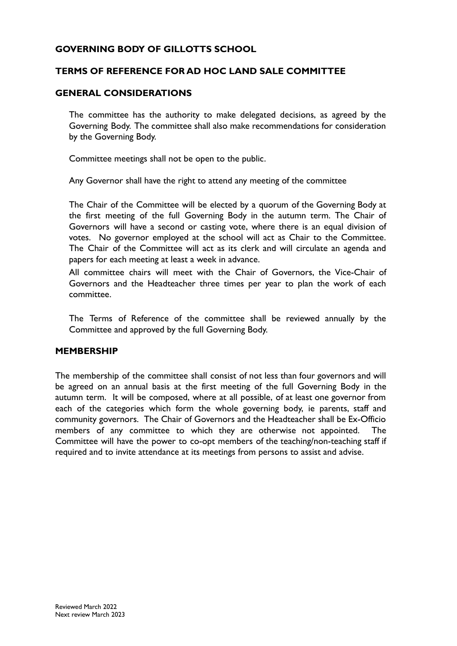### **GOVERNING BODY OF GILLOTTS SCHOOL**

#### **TERMS OF REFERENCE FOR AD HOC LAND SALE COMMITTEE**

#### **GENERAL CONSIDERATIONS**

The committee has the authority to make delegated decisions, as agreed by the Governing Body. The committee shall also make recommendations for consideration by the Governing Body.

Committee meetings shall not be open to the public.

Any Governor shall have the right to attend any meeting of the committee

The Chair of the Committee will be elected by a quorum of the Governing Body at the first meeting of the full Governing Body in the autumn term. The Chair of Governors will have a second or casting vote, where there is an equal division of votes. No governor employed at the school will act as Chair to the Committee. The Chair of the Committee will act as its clerk and will circulate an agenda and papers for each meeting at least a week in advance.

All committee chairs will meet with the Chair of Governors, the Vice-Chair of Governors and the Headteacher three times per year to plan the work of each committee.

The Terms of Reference of the committee shall be reviewed annually by the Committee and approved by the full Governing Body.

#### **MEMBERSHIP**

The membership of the committee shall consist of not less than four governors and will be agreed on an annual basis at the first meeting of the full Governing Body in the autumn term. It will be composed, where at all possible, of at least one governor from each of the categories which form the whole governing body, ie parents, staff and community governors. The Chair of Governors and the Headteacher shall be Ex-Officio members of any committee to which they are otherwise not appointed. The Committee will have the power to co-opt members of the teaching/non-teaching staff if required and to invite attendance at its meetings from persons to assist and advise.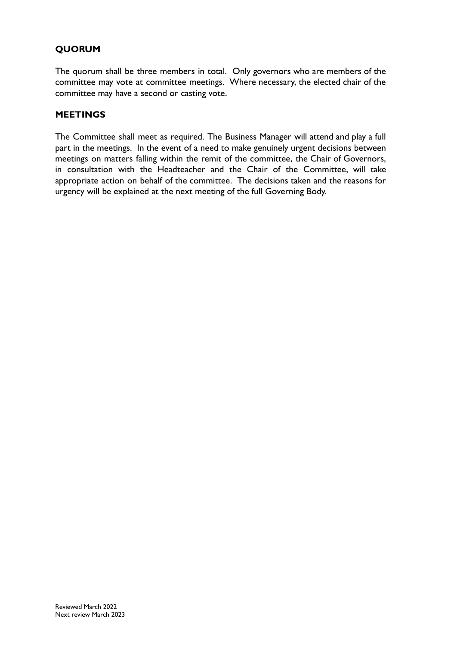# **QUORUM**

The quorum shall be three members in total. Only governors who are members of the committee may vote at committee meetings. Where necessary, the elected chair of the committee may have a second or casting vote.

#### **MEETINGS**

The Committee shall meet as required. The Business Manager will attend and play a full part in the meetings. In the event of a need to make genuinely urgent decisions between meetings on matters falling within the remit of the committee, the Chair of Governors, in consultation with the Headteacher and the Chair of the Committee, will take appropriate action on behalf of the committee. The decisions taken and the reasons for urgency will be explained at the next meeting of the full Governing Body.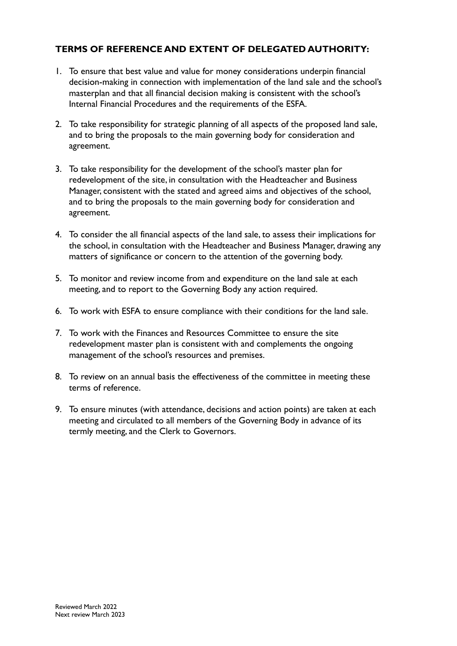## **TERMS OF REFERENCE AND EXTENT OF DELEGATED AUTHORITY:**

- 1. To ensure that best value and value for money considerations underpin financial decision-making in connection with implementation of the land sale and the school's masterplan and that all financial decision making is consistent with the school's Internal Financial Procedures and the requirements of the ESFA.
- 2. To take responsibility for strategic planning of all aspects of the proposed land sale, and to bring the proposals to the main governing body for consideration and agreement.
- 3. To take responsibility for the development of the school's master plan for redevelopment of the site, in consultation with the Headteacher and Business Manager, consistent with the stated and agreed aims and objectives of the school, and to bring the proposals to the main governing body for consideration and agreement.
- 4. To consider the all financial aspects of the land sale, to assess their implications for the school, in consultation with the Headteacher and Business Manager, drawing any matters of significance or concern to the attention of the governing body.
- 5. To monitor and review income from and expenditure on the land sale at each meeting, and to report to the Governing Body any action required.
- 6. To work with ESFA to ensure compliance with their conditions for the land sale.
- 7. To work with the Finances and Resources Committee to ensure the site redevelopment master plan is consistent with and complements the ongoing management of the school's resources and premises.
- 8. To review on an annual basis the effectiveness of the committee in meeting these terms of reference.
- 9. To ensure minutes (with attendance, decisions and action points) are taken at each meeting and circulated to all members of the Governing Body in advance of its termly meeting, and the Clerk to Governors.